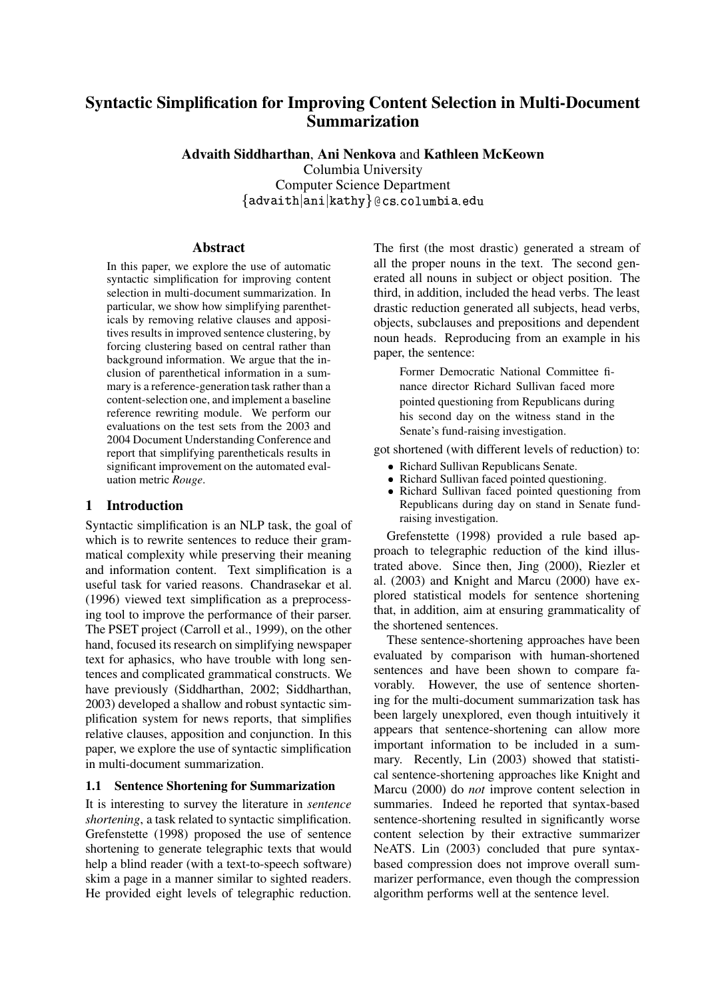# **Syntactic Simplification for Improving Content Selection in Multi-Document Summarization**

**Advaith Siddharthan**, **Ani Nenkova** and **Kathleen McKeown** Columbia University

Computer Science Department  $\{{\tt advaith} | {\tt ani} | {\tt kathy}\}$ @cs.columbia.edu

#### **Abstract**

In this paper, we explore the use of automatic syntactic simplification for improving content selection in multi-document summarization. In particular, we show how simplifying parentheticals by removing relative clauses and appositives results in improved sentence clustering, by forcing clustering based on central rather than background information. We argue that the inclusion of parenthetical information in a summary is a reference-generation task rather than a content-selection one, and implement a baseline reference rewriting module. We perform our evaluations on the test sets from the 2003 and 2004 Document Understanding Conference and report that simplifying parentheticals results in significant improvement on the automated evaluation metric *Rouge*.

#### **1 Introduction**

Syntactic simplification is an NLP task, the goal of which is to rewrite sentences to reduce their grammatical complexity while preserving their meaning and information content. Text simplification is a useful task for varied reasons. Chandrasekar et al. (1996) viewed text simplification as a preprocessing tool to improve the performance of their parser. The PSET project (Carroll et al., 1999), on the other hand, focused its research on simplifying newspaper text for aphasics, who have trouble with long sentences and complicated grammatical constructs. We have previously (Siddharthan, 2002; Siddharthan, 2003) developed a shallow and robust syntactic simplification system for news reports, that simplifies relative clauses, apposition and conjunction. In this paper, we explore the use of syntactic simplification in multi-document summarization.

### **1.1 Sentence Shortening for Summarization**

It is interesting to survey the literature in *sentence shortening*, a task related to syntactic simplification. Grefenstette (1998) proposed the use of sentence shortening to generate telegraphic texts that would help a blind reader (with a text-to-speech software) skim a page in a manner similar to sighted readers. He provided eight levels of telegraphic reduction. The first (the most drastic) generated a stream of all the proper nouns in the text. The second generated all nouns in subject or object position. The third, in addition, included the head verbs. The least drastic reduction generated all subjects, head verbs, objects, subclauses and prepositions and dependent noun heads. Reproducing from an example in his paper, the sentence:

Former Democratic National Committee finance director Richard Sullivan faced more pointed questioning from Republicans during his second day on the witness stand in the Senate's fund-raising investigation.

got shortened (with different levels of reduction) to:

- Richard Sullivan Republicans Senate.
- Richard Sullivan faced pointed questioning.
- Richard Sullivan faced pointed questioning from Republicans during day on stand in Senate fundraising investigation.

Grefenstette (1998) provided a rule based approach to telegraphic reduction of the kind illustrated above. Since then, Jing (2000), Riezler et al. (2003) and Knight and Marcu (2000) have explored statistical models for sentence shortening that, in addition, aim at ensuring grammaticality of the shortened sentences.

These sentence-shortening approaches have been evaluated by comparison with human-shortened sentences and have been shown to compare favorably. However, the use of sentence shortening for the multi-document summarization task has been largely unexplored, even though intuitively it appears that sentence-shortening can allow more important information to be included in a summary. Recently, Lin (2003) showed that statistical sentence-shortening approaches like Knight and Marcu (2000) do *not* improve content selection in summaries. Indeed he reported that syntax-based sentence-shortening resulted in significantly worse content selection by their extractive summarizer NeATS. Lin (2003) concluded that pure syntaxbased compression does not improve overall summarizer performance, even though the compression algorithm performs well at the sentence level.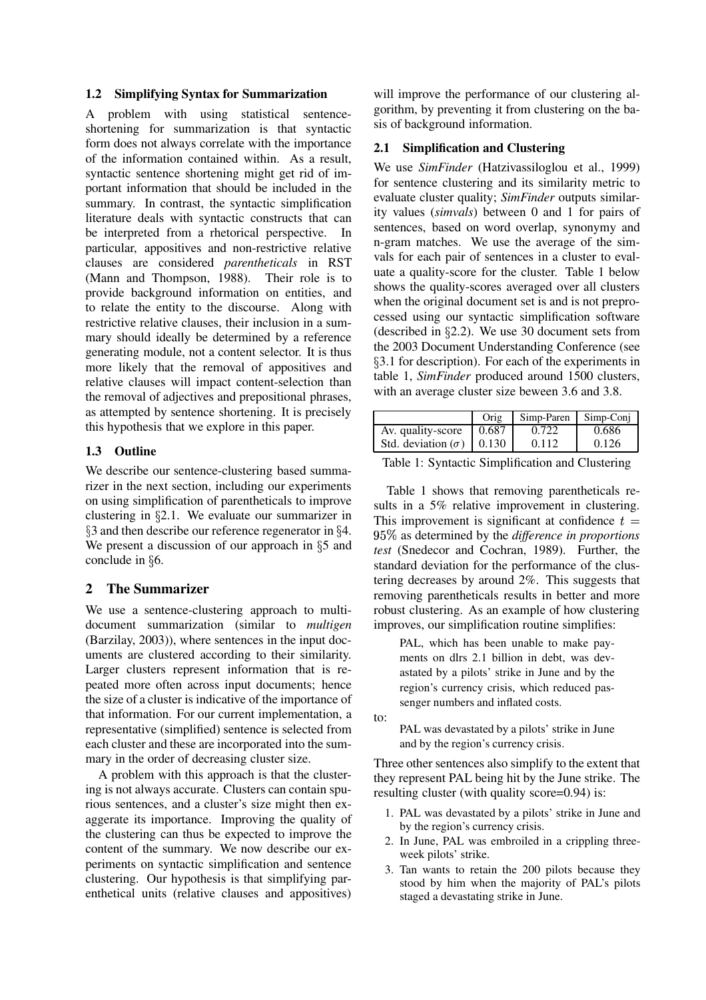#### **1.2 Simplifying Syntax for Summarization**

A problem with using statistical sentenceshortening for summarization is that syntactic form does not always correlate with the importance of the information contained within. As a result, syntactic sentence shortening might get rid of important information that should be included in the summary. In contrast, the syntactic simplification literature deals with syntactic constructs that can be interpreted from a rhetorical perspective. In particular, appositives and non-restrictive relative clauses are considered *parentheticals* in RST (Mann and Thompson, 1988). Their role is to provide background information on entities, and to relate the entity to the discourse. Along with restrictive relative clauses, their inclusion in a summary should ideally be determined by a reference generating module, not a content selector. It is thus more likely that the removal of appositives and relative clauses will impact content-selection than the removal of adjectives and prepositional phrases, as attempted by sentence shortening. It is precisely this hypothesis that we explore in this paper.

#### **1.3 Outline**

We describe our sentence-clustering based summarizer in the next section, including our experiments on using simplification of parentheticals to improve clustering in  $\S 2.1$ . We evaluate our summarizer in  $§$ 3 and then describe our reference regenerator in  $§$ 4. We present a discussion of our approach in  $\S$ 5 and conclude in  $66$ .

## **2 The Summarizer**

We use a sentence-clustering approach to multidocument summarization (similar to *multigen* (Barzilay, 2003)), where sentences in the input documents are clustered according to their similarity. Larger clusters represent information that is repeated more often across input documents; hence the size of a cluster is indicative of the importance of that information. For our current implementation, a representative (simplified) sentence is selected from each cluster and these are incorporated into the summary in the order of decreasing cluster size.

A problem with this approach is that the clustering is not always accurate. Clusters can contain spurious sentences, and a cluster's size might then exaggerate its importance. Improving the quality of the clustering can thus be expected to improve the content of the summary. We now describe our experiments on syntactic simplification and sentence clustering. Our hypothesis is that simplifying parenthetical units (relative clauses and appositives)

will improve the performance of our clustering algorithm, by preventing it from clustering on the basis of background information.

#### **2.1 Simplification and Clustering**

We use *SimFinder* (Hatzivassiloglou et al., 1999) for sentence clustering and its similarity metric to evaluate cluster quality; *SimFinder* outputs similarity values (*simvals*) between 0 and 1 for pairs of sentences, based on word overlap, synonymy and n-gram matches. We use the average of the simvals for each pair of sentences in a cluster to evaluate a quality-score for the cluster. Table 1 below shows the quality-scores averaged over all clusters when the original document set is and is not preprocessed using our syntactic simplification software (described in  $\S 2.2$ ). We use 30 document sets from the 2003 Document Understanding Conference (see \$ 3.1 for description). For each of the experiments in table 1, *SimFinder* produced around 1500 clusters, with an average cluster size beween 3.6 and 3.8.

|                           | Orig  | Simp-Paren | Simp-Conj |
|---------------------------|-------|------------|-----------|
| Av. quality-score         | 0.687 | 0.722      | 0.686     |
| Std. deviation $(\sigma)$ | 0.130 | 0.112      | 0.126     |

Table 1: Syntactic Simplification and Clustering

Table 1 shows that removing parentheticals results in a 5% relative improvement in clustering. This improvement is significant at confidence  $t =$ )+\*, as determined by the *difference in proportions test* (Snedecor and Cochran, 1989). Further, the standard deviation for the performance of the clustering decreases by around 2%. This suggests that removing parentheticals results in better and more robust clustering. As an example of how clustering improves, our simplification routine simplifies:

PAL, which has been unable to make payments on dlrs 2.1 billion in debt, was devastated by a pilots' strike in June and by the region's currency crisis, which reduced passenger numbers and inflated costs.

to:

PAL was devastated by a pilots' strike in June and by the region's currency crisis.

Three other sentences also simplify to the extent that they represent PAL being hit by the June strike. The resulting cluster (with quality score=0.94) is:

- 1. PAL was devastated by a pilots' strike in June and by the region's currency crisis.
- 2. In June, PAL was embroiled in a crippling threeweek pilots' strike.
- 3. Tan wants to retain the 200 pilots because they stood by him when the majority of PAL's pilots staged a devastating strike in June.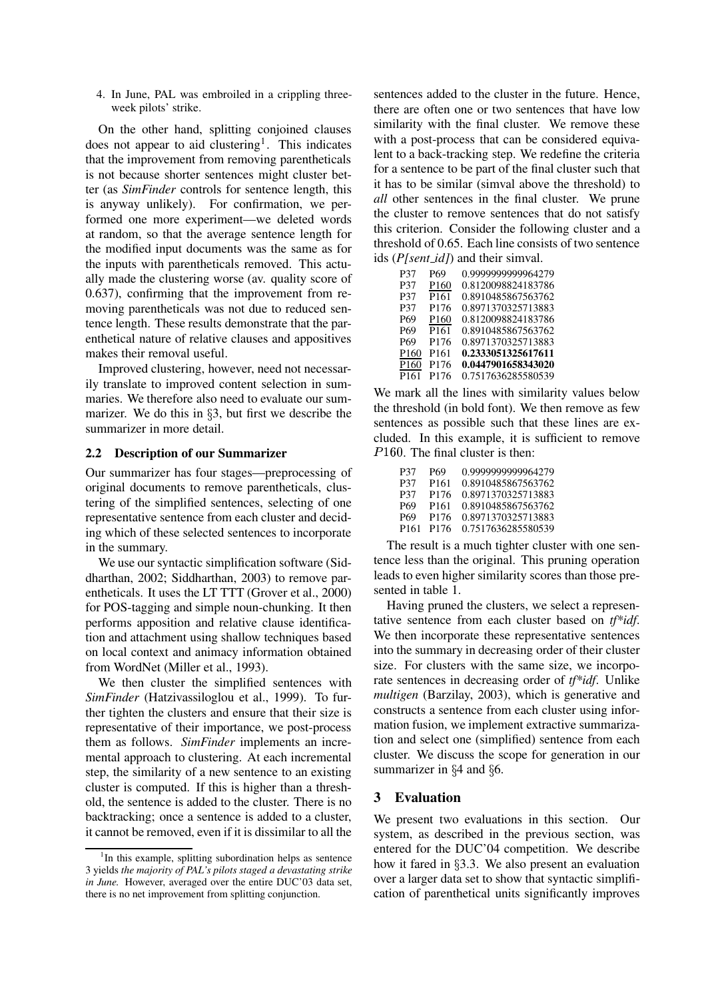4. In June, PAL was embroiled in a crippling threeweek pilots' strike.

On the other hand, splitting conjoined clauses does not appear to aid clustering<sup>1</sup>. This indicates that the improvement from removing parentheticals is not because shorter sentences might cluster better (as *SimFinder* controls for sentence length, this is anyway unlikely). For confirmation, we performed one more experiment—we deleted words at random, so that the average sentence length for the modified input documents was the same as for the inputs with parentheticals removed. This actually made the clustering worse (av. quality score of 0.637), confirming that the improvement from removing parentheticals was not due to reduced sentence length. These results demonstrate that the parenthetical nature of relative clauses and appositives makes their removal useful.

Improved clustering, however, need not necessarily translate to improved content selection in summaries. We therefore also need to evaluate our summarizer. We do this in  $\S$ 3, but first we describe the summarizer in more detail.

#### **2.2 Description of our Summarizer**

Our summarizer has four stages—preprocessing of original documents to remove parentheticals, clustering of the simplified sentences, selecting of one representative sentence from each cluster and deciding which of these selected sentences to incorporate in the summary.

We use our syntactic simplification software (Siddharthan, 2002; Siddharthan, 2003) to remove parentheticals. It uses the LT TTT (Grover et al., 2000) for POS-tagging and simple noun-chunking. It then performs apposition and relative clause identification and attachment using shallow techniques based on local context and animacy information obtained from WordNet (Miller et al., 1993).

We then cluster the simplified sentences with *SimFinder* (Hatzivassiloglou et al., 1999). To further tighten the clusters and ensure that their size is representative of their importance, we post-process them as follows. *SimFinder* implements an incremental approach to clustering. At each incremental step, the similarity of a new sentence to an existing cluster is computed. If this is higher than a threshold, the sentence is added to the cluster. There is no backtracking; once a sentence is added to a cluster, it cannot be removed, even if it is dissimilar to all the

sentences added to the cluster in the future. Hence, there are often one or two sentences that have low similarity with the final cluster. We remove these with a post-process that can be considered equivalent to a back-tracking step. We redefine the criteria for a sentence to be part of the final cluster such that it has to be similar (simval above the threshold) to *all* other sentences in the final cluster. We prune the cluster to remove sentences that do not satisfy this criterion. Consider the following cluster and a threshold of 0.65. Each line consists of two sentence ids (*P[sent id]*) and their simval.

| P37              | P69              | 0.999999999964279  |
|------------------|------------------|--------------------|
| P37              | P <sub>160</sub> | 0.8120098824183786 |
| P37              | P <sub>161</sub> | 0.8910485867563762 |
| P37              | P176             | 0.8971370325713883 |
| P <sub>69</sub>  | P <sub>160</sub> | 0.8120098824183786 |
| P <sub>69</sub>  | P <sub>161</sub> | 0.8910485867563762 |
| P <sub>69</sub>  | P <sub>176</sub> | 0.8971370325713883 |
| P160             | P <sub>161</sub> | 0.2333051325617611 |
| P <sub>160</sub> | P <sub>176</sub> | 0.0447901658343020 |
| P <sub>161</sub> | P176             | 0.7517636285580539 |

We mark all the lines with similarity values below the threshold (in bold font). We then remove as few sentences as possible such that these lines are excluded. In this example, it is sufficient to remove  $P160$ . The final cluster is then:

| P37              | P69  | 0.999999999964279  |
|------------------|------|--------------------|
| P37              | P161 | 0.8910485867563762 |
| P37              | P176 | 0.8971370325713883 |
| P69              | P161 | 0.8910485867563762 |
| P69              | P176 | 0.8971370325713883 |
| P <sub>161</sub> | P176 | 0.7517636285580539 |

The result is a much tighter cluster with one sentence less than the original. This pruning operation leads to even higher similarity scores than those presented in table 1.

Having pruned the clusters, we select a representative sentence from each cluster based on *tf\*idf*. We then incorporate these representative sentences into the summary in decreasing order of their cluster size. For clusters with the same size, we incorporate sentences in decreasing order of *tf\*idf*. Unlike *multigen* (Barzilay, 2003), which is generative and constructs a sentence from each cluster using information fusion, we implement extractive summarization and select one (simplified) sentence from each cluster. We discuss the scope for generation in our summarizer in  $\S 4$  and  $\S 6$ .

# **3 Evaluation**

We present two evaluations in this section. Our system, as described in the previous section, was entered for the DUC'04 competition. We describe how it fared in  $\S 3.3$ . We also present an evaluation over a larger data set to show that syntactic simplification of parenthetical units significantly improves

<sup>&</sup>lt;sup>1</sup>In this example, splitting subordination helps as sentence 3 yields *the majority of PAL's pilots staged a devastating strike in June.* However, averaged over the entire DUC'03 data set, there is no net improvement from splitting conjunction.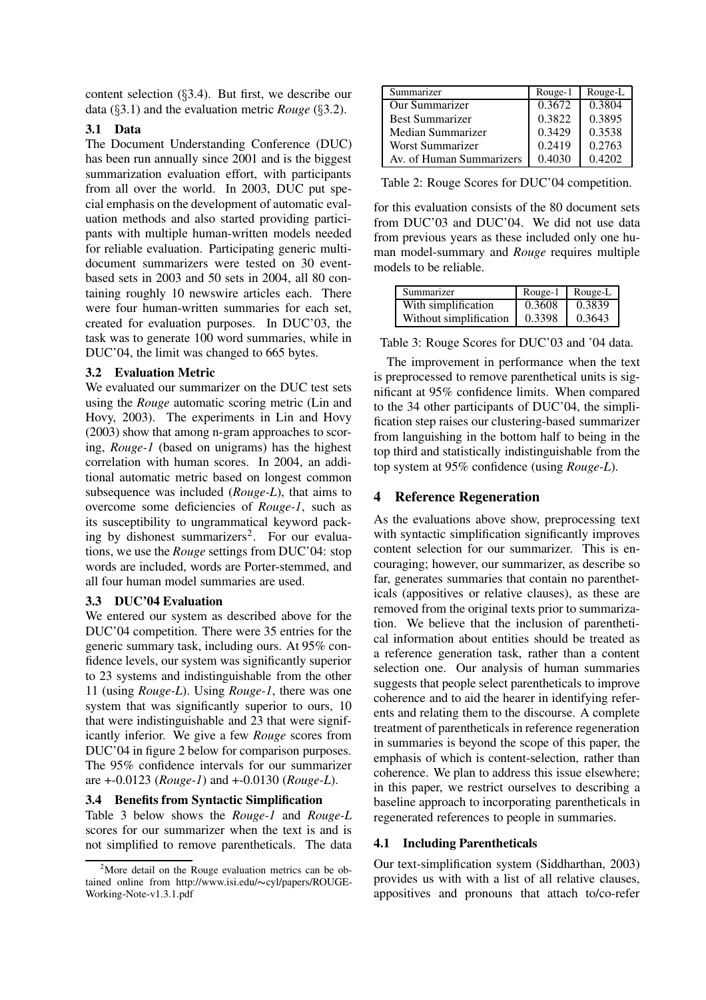content selection  $(\S 3.4)$ . But first, we describe our data  $(\S 3.1)$  and the evaluation metric *Rouge* ( $\S 3.2$ ).

### **3.1 Data**

The Document Understanding Conference (DUC) has been run annually since 2001 and is the biggest summarization evaluation effort, with participants from all over the world. In 2003, DUC put special emphasis on the development of automatic evaluation methods and also started providing participants with multiple human-written models needed for reliable evaluation. Participating generic multidocument summarizers were tested on 30 eventbased sets in 2003 and 50 sets in 2004, all 80 containing roughly 10 newswire articles each. There were four human-written summaries for each set, created for evaluation purposes. In DUC'03, the task was to generate 100 word summaries, while in DUC'04, the limit was changed to 665 bytes.

### **3.2 Evaluation Metric**

We evaluated our summarizer on the DUC test sets using the *Rouge* automatic scoring metric (Lin and Hovy, 2003). The experiments in Lin and Hovy (2003) show that among n-gram approaches to scoring, *Rouge-1* (based on unigrams) has the highest correlation with human scores. In 2004, an additional automatic metric based on longest common subsequence was included (*Rouge-L*), that aims to overcome some deficiencies of *Rouge-1*, such as its susceptibility to ungrammatical keyword packing by dishonest summarizers<sup>2</sup>. For our evaluations, we use the *Rouge* settings from DUC'04: stop words are included, words are Porter-stemmed, and all four human model summaries are used.

# **3.3 DUC'04 Evaluation**

We entered our system as described above for the DUC'04 competition. There were 35 entries for the generic summary task, including ours. At 95% confidence levels, our system was significantly superior to 23 systems and indistinguishable from the other 11 (using *Rouge-L*). Using *Rouge-1*, there was one system that was significantly superior to ours, 10 that were indistinguishable and 23 that were significantly inferior. We give a few *Rouge* scores from DUC'04 in figure 2 below for comparison purposes. The 95% confidence intervals for our summarizer are +-0.0123 (*Rouge-1*) and +-0.0130 (*Rouge-L*).

#### **3.4 Benefits from Syntactic Simplification**

Table 3 below shows the *Rouge-1* and *Rouge-L* scores for our summarizer when the text is and is not simplified to remove parentheticals. The data

| Summarizer               | Rouge-1 | Rouge-L |
|--------------------------|---------|---------|
| Our Summarizer           | 0.3672  | 0.3804  |
| <b>Best Summarizer</b>   | 0.3822  | 0.3895  |
| Median Summarizer        | 0.3429  | 0.3538  |
| Worst Summarizer         | 0.2419  | 0.2763  |
| Av. of Human Summarizers | 0.4030  | 0.4202  |

Table 2: Rouge Scores for DUC'04 competition.

for this evaluation consists of the 80 document sets from DUC'03 and DUC'04. We did not use data from previous years as these included only one human model-summary and *Rouge* requires multiple models to be reliable.

| Summarizer             |        | Rouge- $1 \mid$ Rouge-L |
|------------------------|--------|-------------------------|
| With simplification    | 0.3608 | 0.3839                  |
| Without simplification | 0.3398 | 0.3643                  |

Table 3: Rouge Scores for DUC'03 and '04 data.

The improvement in performance when the text is preprocessed to remove parenthetical units is significant at 95% confidence limits. When compared to the 34 other participants of DUC'04, the simplification step raises our clustering-based summarizer from languishing in the bottom half to being in the top third and statistically indistinguishable from the top system at 95% confidence (using *Rouge-L*).

# **4 Reference Regeneration**

As the evaluations above show, preprocessing text with syntactic simplification significantly improves content selection for our summarizer. This is encouraging; however, our summarizer, as describe so far, generates summaries that contain no parentheticals (appositives or relative clauses), as these are removed from the original texts prior to summarization. We believe that the inclusion of parenthetical information about entities should be treated as a reference generation task, rather than a content selection one. Our analysis of human summaries suggests that people select parentheticals to improve coherence and to aid the hearer in identifying referents and relating them to the discourse. A complete treatment of parentheticals in reference regeneration in summaries is beyond the scope of this paper, the emphasis of which is content-selection, rather than coherence. We plan to address this issue elsewhere; in this paper, we restrict ourselves to describing a baseline approach to incorporating parentheticals in regenerated references to people in summaries.

### **4.1 Including Parentheticals**

Our text-simplification system (Siddharthan, 2003) provides us with with a list of all relative clauses, appositives and pronouns that attach to/co-refer

 $2^2$ More detail on the Rouge evaluation metrics can be obtained online from http://www.isi.edu/~cyl/papers/ROUGE-Working-Note-v1.3.1.pdf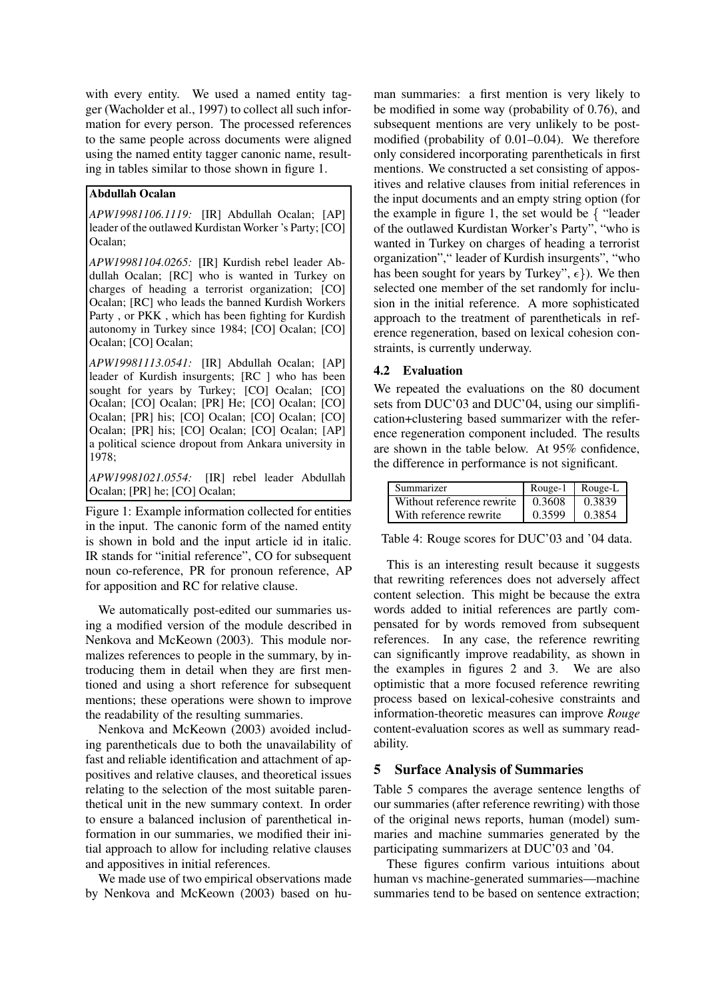with every entity. We used a named entity tagger (Wacholder et al., 1997) to collect all such information for every person. The processed references to the same people across documents were aligned using the named entity tagger canonic name, resulting in tables similar to those shown in figure 1.

### **Abdullah Ocalan**

*APW19981106.1119:* [IR] Abdullah Ocalan; [AP] leader of the outlawed Kurdistan Worker 's Party; [CO] Ocalan;

*APW19981104.0265:* [IR] Kurdish rebel leader Abdullah Ocalan; [RC] who is wanted in Turkey on charges of heading a terrorist organization; [CO] Ocalan; [RC] who leads the banned Kurdish Workers Party , or PKK , which has been fighting for Kurdish autonomy in Turkey since 1984; [CO] Ocalan; [CO] Ocalan; [CO] Ocalan;

*APW19981113.0541:* [IR] Abdullah Ocalan; [AP] leader of Kurdish insurgents; [RC ] who has been sought for years by Turkey; [CO] Ocalan; [CO] Ocalan; [CO] Ocalan; [PR] He; [CO] Ocalan; [CO] Ocalan; [PR] his; [CO] Ocalan; [CO] Ocalan; [CO] Ocalan; [PR] his; [CO] Ocalan; [CO] Ocalan; [AP] a political science dropout from Ankara university in 1978;

*APW19981021.0554:* [IR] rebel leader Abdullah Ocalan; [PR] he; [CO] Ocalan;

Figure 1: Example information collected for entities in the input. The canonic form of the named entity is shown in bold and the input article id in italic. IR stands for "initial reference", CO for subsequent noun co-reference, PR for pronoun reference, AP for apposition and RC for relative clause.

We automatically post-edited our summaries using a modified version of the module described in Nenkova and McKeown (2003). This module normalizes references to people in the summary, by introducing them in detail when they are first mentioned and using a short reference for subsequent mentions; these operations were shown to improve the readability of the resulting summaries.

Nenkova and McKeown (2003) avoided including parentheticals due to both the unavailability of fast and reliable identification and attachment of appositives and relative clauses, and theoretical issues relating to the selection of the most suitable parenthetical unit in the new summary context. In order to ensure a balanced inclusion of parenthetical information in our summaries, we modified their initial approach to allow for including relative clauses and appositives in initial references.

We made use of two empirical observations made by Nenkova and McKeown (2003) based on hu-

man summaries: a first mention is very likely to be modified in some way (probability of 0.76), and subsequent mentions are very unlikely to be postmodified (probability of 0.01–0.04). We therefore only considered incorporating parentheticals in first mentions. We constructed a set consisting of appositives and relative clauses from initial references in the input documents and an empty string option (for the example in figure 1, the set would be  $\{$  "leader of the outlawed Kurdistan Worker's Party", "who is wanted in Turkey on charges of heading a terrorist organization"," leader of Kurdish insurgents", "who has been sought for years by Turkey",  $\epsilon$ }). We then selected one member of the set randomly for inclusion in the initial reference. A more sophisticated approach to the treatment of parentheticals in reference regeneration, based on lexical cohesion constraints, is currently underway.

### **4.2 Evaluation**

We repeated the evaluations on the 80 document sets from DUC'03 and DUC'04, using our simplification+clustering based summarizer with the reference regeneration component included. The results are shown in the table below. At 95% confidence, the difference in performance is not significant.

| Summarizer                | Rouge-1 | Rouge-L |
|---------------------------|---------|---------|
| Without reference rewrite | 0.3608  | 0.3839  |
| With reference rewrite    | 0.3599  | 0.3854  |

Table 4: Rouge scores for DUC'03 and '04 data.

This is an interesting result because it suggests that rewriting references does not adversely affect content selection. This might be because the extra words added to initial references are partly compensated for by words removed from subsequent references. In any case, the reference rewriting can significantly improve readability, as shown in the examples in figures 2 and 3. We are also optimistic that a more focused reference rewriting process based on lexical-cohesive constraints and information-theoretic measures can improve *Rouge* content-evaluation scores as well as summary readability.

### **5 Surface Analysis of Summaries**

Table 5 compares the average sentence lengths of our summaries (after reference rewriting) with those of the original news reports, human (model) summaries and machine summaries generated by the participating summarizers at DUC'03 and '04.

These figures confirm various intuitions about human vs machine-generated summaries—machine summaries tend to be based on sentence extraction;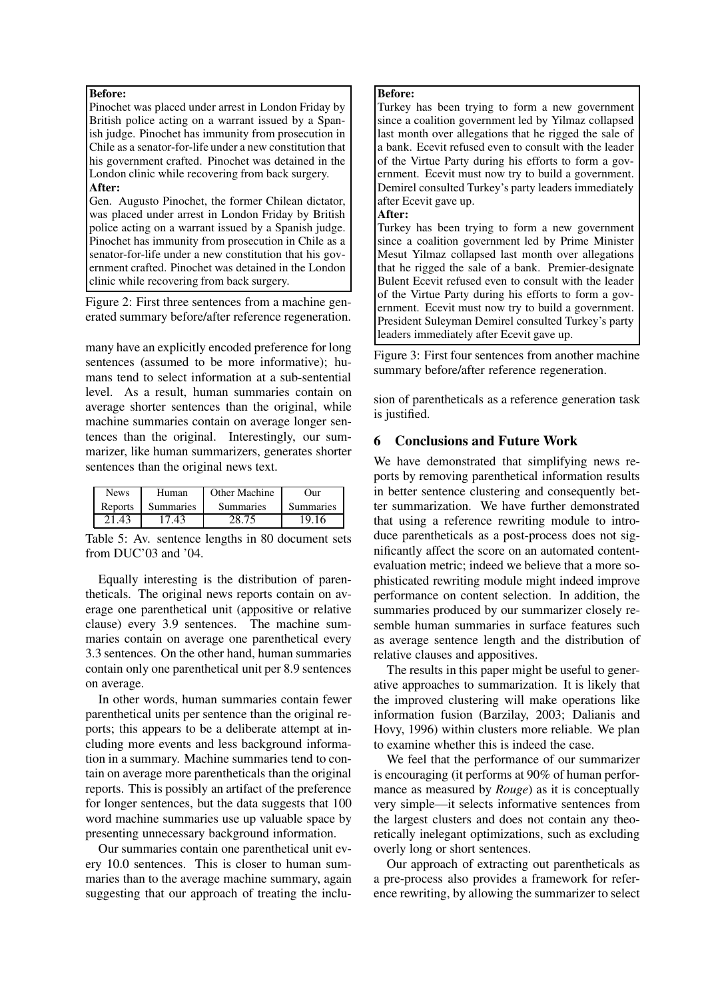### **Before:**

Pinochet was placed under arrest in London Friday by British police acting on a warrant issued by a Spanish judge. Pinochet has immunity from prosecution in Chile as a senator-for-life under a new constitution that his government crafted. Pinochet was detained in the London clinic while recovering from back surgery. **After:**

Gen. Augusto Pinochet, the former Chilean dictator, was placed under arrest in London Friday by British police acting on a warrant issued by a Spanish judge. Pinochet has immunity from prosecution in Chile as a senator-for-life under a new constitution that his government crafted. Pinochet was detained in the London clinic while recovering from back surgery.

Figure 2: First three sentences from a machine generated summary before/after reference regeneration.

many have an explicitly encoded preference for long sentences (assumed to be more informative); humans tend to select information at a sub-sentential level. As a result, human summaries contain on average shorter sentences than the original, while machine summaries contain on average longer sentences than the original. Interestingly, our summarizer, like human summarizers, generates shorter sentences than the original news text.

| <b>News</b> | Human            | Other Machine    | Our)      |
|-------------|------------------|------------------|-----------|
| Reports     | <b>Summaries</b> | <b>Summaries</b> | Summaries |
| 21.43       | 17 43            |                  | 19.16     |

Table 5: Av. sentence lengths in 80 document sets from DUC'03 and '04.

Equally interesting is the distribution of parentheticals. The original news reports contain on average one parenthetical unit (appositive or relative clause) every 3.9 sentences. The machine summaries contain on average one parenthetical every 3.3 sentences. On the other hand, human summaries contain only one parenthetical unit per 8.9 sentences on average.

In other words, human summaries contain fewer parenthetical units per sentence than the original reports; this appears to be a deliberate attempt at including more events and less background information in a summary. Machine summaries tend to contain on average more parentheticals than the original reports. This is possibly an artifact of the preference for longer sentences, but the data suggests that 100 word machine summaries use up valuable space by presenting unnecessary background information.

Our summaries contain one parenthetical unit every 10.0 sentences. This is closer to human summaries than to the average machine summary, again suggesting that our approach of treating the inclu-

#### **Before:**

Turkey has been trying to form a new government since a coalition government led by Yilmaz collapsed last month over allegations that he rigged the sale of a bank. Ecevit refused even to consult with the leader of the Virtue Party during his efforts to form a government. Ecevit must now try to build a government. Demirel consulted Turkey's party leaders immediately after Ecevit gave up.

#### **After:**

Turkey has been trying to form a new government since a coalition government led by Prime Minister Mesut Yilmaz collapsed last month over allegations that he rigged the sale of a bank. Premier-designate Bulent Ecevit refused even to consult with the leader of the Virtue Party during his efforts to form a government. Ecevit must now try to build a government. President Suleyman Demirel consulted Turkey's party leaders immediately after Ecevit gave up.

Figure 3: First four sentences from another machine summary before/after reference regeneration.

sion of parentheticals as a reference generation task is justified.

# **6 Conclusions and Future Work**

We have demonstrated that simplifying news reports by removing parenthetical information results in better sentence clustering and consequently better summarization. We have further demonstrated that using a reference rewriting module to introduce parentheticals as a post-process does not significantly affect the score on an automated contentevaluation metric; indeed we believe that a more sophisticated rewriting module might indeed improve performance on content selection. In addition, the summaries produced by our summarizer closely resemble human summaries in surface features such as average sentence length and the distribution of relative clauses and appositives.

The results in this paper might be useful to generative approaches to summarization. It is likely that the improved clustering will make operations like information fusion (Barzilay, 2003; Dalianis and Hovy, 1996) within clusters more reliable. We plan to examine whether this is indeed the case.

We feel that the performance of our summarizer is encouraging (it performs at 90% of human performance as measured by *Rouge*) as it is conceptually very simple—it selects informative sentences from the largest clusters and does not contain any theoretically inelegant optimizations, such as excluding overly long or short sentences.

Our approach of extracting out parentheticals as a pre-process also provides a framework for reference rewriting, by allowing the summarizer to select